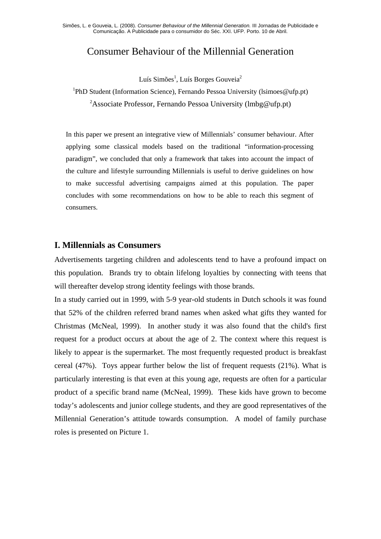# Consumer Behaviour of the Millennial Generation

Luís Simões<sup>1</sup>, Luís Borges Gouveia<sup>2</sup>

<sup>1</sup>PhD Student (Information Science), Fernando Pessoa University (Isimoes@ufp.pt) 2 Associate Professor, Fernando Pessoa University (lmbg@ufp.pt)

In this paper we present an integrative view of Millennials' consumer behaviour. After applying some classical models based on the traditional "information-processing paradigm", we concluded that only a framework that takes into account the impact of the culture and lifestyle surrounding Millennials is useful to derive guidelines on how to make successful advertising campaigns aimed at this population. The paper concludes with some recommendations on how to be able to reach this segment of consumers.

#### **I. Millennials as Consumers**

Advertisements targeting children and adolescents tend to have a profound impact on this population. Brands try to obtain lifelong loyalties by connecting with teens that will thereafter develop strong identity feelings with those brands.

In a study carried out in 1999, with 5-9 year-old students in Dutch schools it was found that 52% of the children referred brand names when asked what gifts they wanted for Christmas (McNeal, 1999). In another study it was also found that the child's first request for a product occurs at about the age of 2. The context where this request is likely to appear is the supermarket. The most frequently requested product is breakfast cereal (47%). Toys appear further below the list of frequent requests (21%). What is particularly interesting is that even at this young age, requests are often for a particular product of a specific brand name (McNeal, 1999). These kids have grown to become today's adolescents and junior college students, and they are good representatives of the Millennial Generation's attitude towards consumption. A model of family purchase roles is presented on Picture 1.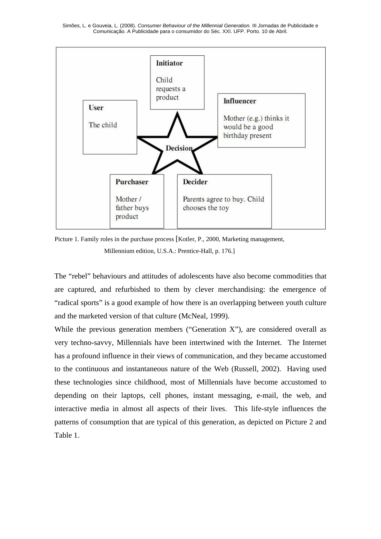

Picture 1. Family roles in the purchase process [Kotler, P., 2000, Marketing management, Millennium edition, U.S.A.: Prentice-Hall, p. 176.]

The "rebel" behaviours and attitudes of adolescents have also become commodities that are captured, and refurbished to them by clever merchandising: the emergence of "radical sports" is a good example of how there is an overlapping between youth culture and the marketed version of that culture (McNeal, 1999).

While the previous generation members ("Generation  $X$ "), are considered overall as very techno-savvy, Millennials have been intertwined with the Internet. The Internet has a profound influence in their views of communication, and they became accustomed to the continuous and instantaneous nature of the Web (Russell, 2002). Having used these technologies since childhood, most of Millennials have become accustomed to depending on their laptops, cell phones, instant messaging, e-mail, the web, and interactive media in almost all aspects of their lives. This life-style influences the patterns of consumption that are typical of this generation, as depicted on Picture 2 and Table 1.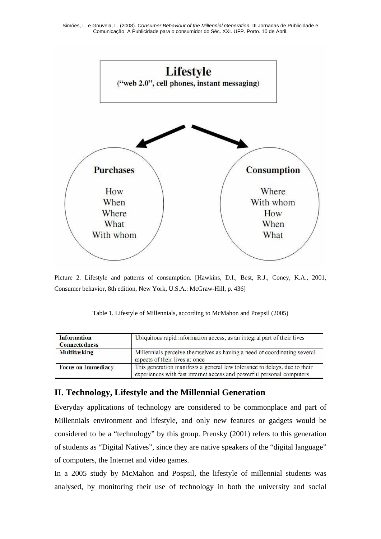

Picture 2. Lifestyle and patterns of consumption. [Hawkins, D.I., Best, R.J., Coney, K.A., 2001, Consumer behavior, 8th edition, New York, U.S.A.: McGraw-Hill, p. 436]

| Table 1. Lifestyle of Millennials, according to McMahon and Pospsil (2005) |  |  |
|----------------------------------------------------------------------------|--|--|
|----------------------------------------------------------------------------|--|--|

| <b>Information</b><br><b>Connectedness</b> | Ubiquitous rapid information access, as an integral part of their lives                                                                            |
|--------------------------------------------|----------------------------------------------------------------------------------------------------------------------------------------------------|
| <b>Multitasking</b>                        | Millennials perceive themselves as having a need of coordinating several<br>aspects of their lives at once                                         |
| <b>Focus on Immediacy</b>                  | This generation manifests a general low tolerance to delays, due to their<br>experiences with fast internet access and powerful personal computers |

## **II. Technology, Lifestyle and the Millennial Generation**

Everyday applications of technology are considered to be commonplace and part of Millennials environment and lifestyle, and only new features or gadgets would be considered to be a "technology" by this group. Prensky (2001) refers to this generation of students as "Digital Natives", since they are native speakers of the "digital language" of computers, the Internet and video games.

In a 2005 study by McMahon and Pospsil, the lifestyle of millennial students was analysed, by monitoring their use of technology in both the university and social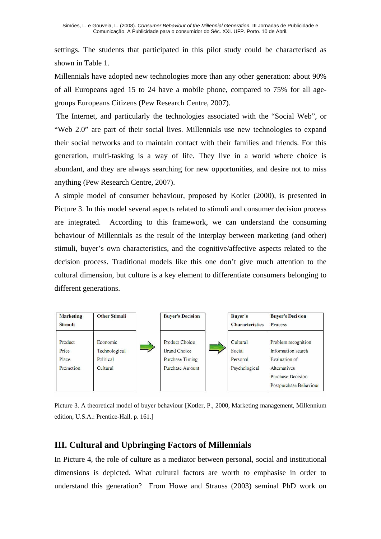settings. The students that participated in this pilot study could be characterised as shown in Table 1.

Millennials have adopted new technologies more than any other generation: about 90% of all Europeans aged 15 to 24 have a mobile phone, compared to 75% for all agegroups Europeans Citizens (Pew Research Centre, 2007).

 The Internet, and particularly the technologies associated with the "Social Web", or "Web 2.0" are part of their social lives. Millennials use new technologies to expand their social networks and to maintain contact with their families and friends. For this generation, multi-tasking is a way of life. They live in a world where choice is abundant, and they are always searching for new opportunities, and desire not to miss anything (Pew Research Centre, 2007).

A simple model of consumer behaviour, proposed by Kotler (2000), is presented in Picture 3. In this model several aspects related to stimuli and consumer decision process are integrated. According to this framework, we can understand the consuming behaviour of Millennials as the result of the interplay between marketing (and other) stimuli, buyer's own characteristics, and the cognitive/affective aspects related to the decision process. Traditional models like this one don't give much attention to the cultural dimension, but culture is a key element to differentiate consumers belonging to different generations.



Picture 3. A theoretical model of buyer behaviour [Kotler, P., 2000, Marketing management, Millennium edition, U.S.A.: Prentice-Hall, p. 161.]

### **III. Cultural and Upbringing Factors of Millennials**

In Picture 4, the role of culture as a mediator between personal, social and institutional dimensions is depicted. What cultural factors are worth to emphasise in order to understand this generation? From Howe and Strauss (2003) seminal PhD work on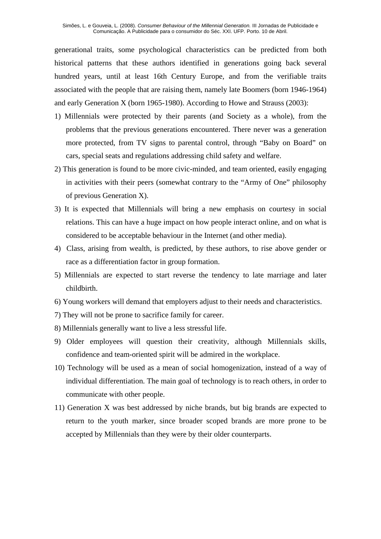generational traits, some psychological characteristics can be predicted from both historical patterns that these authors identified in generations going back several hundred years, until at least 16th Century Europe, and from the verifiable traits associated with the people that are raising them, namely late Boomers (born 1946-1964) and early Generation X (born 1965-1980). According to Howe and Strauss (2003):

- 1) Millennials were protected by their parents (and Society as a whole), from the problems that the previous generations encountered. There never was a generation more protected, from TV signs to parental control, through "Baby on Board" on cars, special seats and regulations addressing child safety and welfare.
- 2) This generation is found to be more civic-minded, and team oriented, easily engaging in activities with their peers (somewhat contrary to the "Army of One" philosophy of previous Generation X).
- 3) It is expected that Millennials will bring a new emphasis on courtesy in social relations. This can have a huge impact on how people interact online, and on what is considered to be acceptable behaviour in the Internet (and other media).
- 4) Class, arising from wealth, is predicted, by these authors, to rise above gender or race as a differentiation factor in group formation.
- 5) Millennials are expected to start reverse the tendency to late marriage and later childbirth.
- 6) Young workers will demand that employers adjust to their needs and characteristics.
- 7) They will not be prone to sacrifice family for career.
- 8) Millennials generally want to live a less stressful life.
- 9) Older employees will question their creativity, although Millennials skills, confidence and team-oriented spirit will be admired in the workplace.
- 10) Technology will be used as a mean of social homogenization, instead of a way of individual differentiation. The main goal of technology is to reach others, in order to communicate with other people.
- 11) Generation X was best addressed by niche brands, but big brands are expected to return to the youth marker, since broader scoped brands are more prone to be accepted by Millennials than they were by their older counterparts.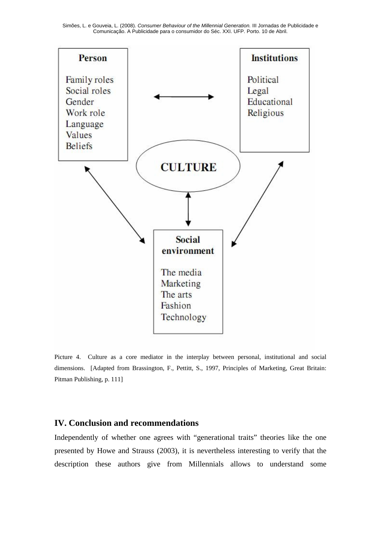Simões, L. e Gouveia, L. (2008). *Consumer Behaviour of the Millennial Generation.* III Jornadas de Publicidade e Comunicação. A Publicidade para o consumidor do Séc. XXI. UFP. Porto. 10 de Abril.



Picture 4. Culture as a core mediator in the interplay between personal, institutional and social dimensions. [Adapted from Brassington, F., Pettitt, S., 1997, Principles of Marketing, Great Britain: Pitman Publishing, p. 111]

#### **IV. Conclusion and recommendations**

Independently of whether one agrees with "generational traits" theories like the one presented by Howe and Strauss (2003), it is nevertheless interesting to verify that the description these authors give from Millennials allows to understand some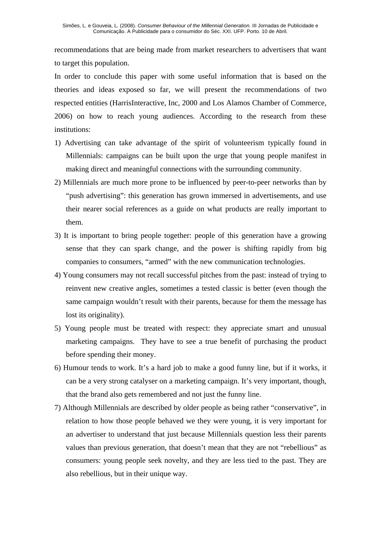recommendations that are being made from market researchers to advertisers that want to target this population.

In order to conclude this paper with some useful information that is based on the theories and ideas exposed so far, we will present the recommendations of two respected entities (HarrisInteractive, Inc, 2000 and Los Alamos Chamber of Commerce, 2006) on how to reach young audiences. According to the research from these institutions:

- 1) Advertising can take advantage of the spirit of volunteerism typically found in Millennials: campaigns can be built upon the urge that young people manifest in making direct and meaningful connections with the surrounding community.
- 2) Millennials are much more prone to be influenced by peer-to-peer networks than by "push advertising": this generation has grown immersed in advertisements, and use their nearer social references as a guide on what products are really important to them.
- 3) It is important to bring people together: people of this generation have a growing sense that they can spark change, and the power is shifting rapidly from big companies to consumers, "armed" with the new communication technologies.
- 4) Young consumers may not recall successful pitches from the past: instead of trying to reinvent new creative angles, sometimes a tested classic is better (even though the same campaign wouldn't result with their parents, because for them the message has lost its originality).
- 5) Young people must be treated with respect: they appreciate smart and unusual marketing campaigns. They have to see a true benefit of purchasing the product before spending their money.
- 6) Humour tends to work. It's a hard job to make a good funny line, but if it works, it can be a very strong catalyser on a marketing campaign. It's very important, though, that the brand also gets remembered and not just the funny line.
- 7) Although Millennials are described by older people as being rather "conservative", in relation to how those people behaved we they were young, it is very important for an advertiser to understand that just because Millennials question less their parents values than previous generation, that doesn't mean that they are not "rebellious" as consumers: young people seek novelty, and they are less tied to the past. They are also rebellious, but in their unique way.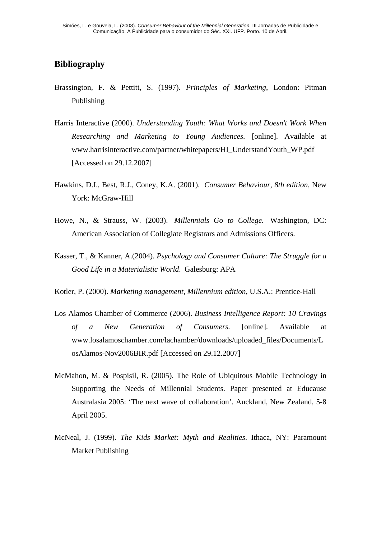## **Bibliography**

- Brassington, F. & Pettitt, S. (1997). *Principles of Marketing*, London: Pitman Publishing
- Harris Interactive (2000). *Understanding Youth: What Works and Doesn't Work When Researching and Marketing to Young Audiences.* [online]. Available at www.harrisinteractive.com/partner/whitepapers/HI\_UnderstandYouth\_WP.pdf [Accessed on 29.12.2007]
- Hawkins, D.I., Best, R.J., Coney, K.A. (2001). *Consumer Behaviour, 8th edition*, New York: McGraw-Hill
- Howe, N., & Strauss, W. (2003). *Millennials Go to College.* Washington, DC: American Association of Collegiate Registrars and Admissions Officers.
- Kasser, T., & Kanner, A.(2004). *Psychology and Consumer Culture: The Struggle for a Good Life in a Materialistic World*. Galesburg: APA
- Kotler, P. (2000). *Marketing management, Millennium edition,* U.S.A.: Prentice-Hall
- Los Alamos Chamber of Commerce (2006). *Business Intelligence Report: 10 Cravings of a New Generation of Consumers.* [online]. Available at www.losalamoschamber.com/lachamber/downloads/uploaded\_files/Documents/L osAlamos-Nov2006BIR.pdf [Accessed on 29.12.2007]
- McMahon, M. & Pospisil, R. (2005). The Role of Ubiquitous Mobile Technology in Supporting the Needs of Millennial Students. Paper presented at Educause Australasia 2005: 'The next wave of collaboration'. Auckland, New Zealand, 5-8 April 2005.
- McNeal, J. (1999). *The Kids Market: Myth and Realities*. Ithaca, NY: Paramount Market Publishing